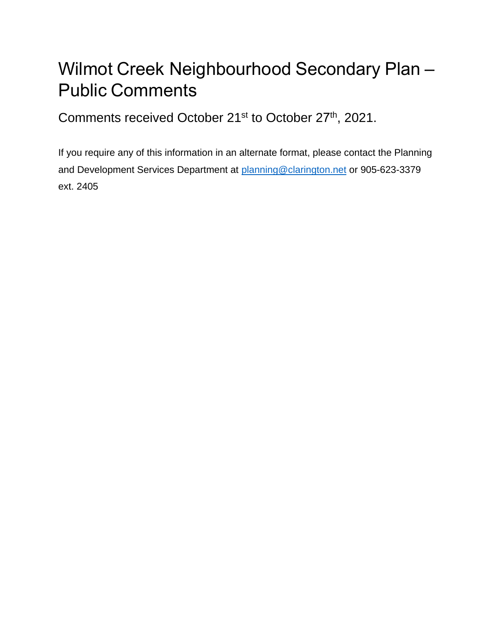## Wilmot Creek Neighbourhood Secondary Plan – Public Comments

Comments received October 21<sup>st</sup> to October 27<sup>th</sup>, 2021.

If you require any of this information in an [alternate format, please c](mailto:planning@clarington.net)ontact the Planning and Development Services Department at planning@clarington.net or 905-623-3379 ext. 2405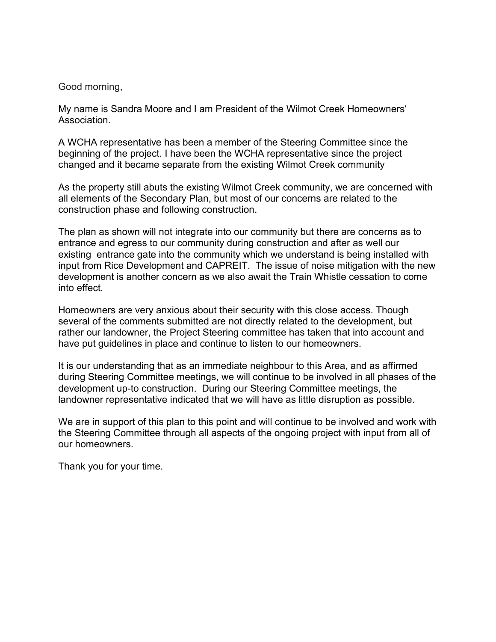Good morning,

My name is Sandra Moore and I am President of the Wilmot Creek Homeowners' Association.

A WCHA representative has been a member of the Steering Committee since the beginning of the project. I have been the WCHA representative since the project changed and it became separate from the existing Wilmot Creek community

As the property still abuts the existing Wilmot Creek community, we are concerned with all elements of the Secondary Plan, but most of our concerns are related to the construction phase and following construction.

The plan as shown will not integrate into our community but there are concerns as to entrance and egress to our community during construction and after as well our existing entrance gate into the community which we understand is being installed with input from Rice Development and CAPREIT. The issue of noise mitigation with the new development is another concern as we also await the Train Whistle cessation to come into effect.

Homeowners are very anxious about their security with this close access. Though several of the comments submitted are not directly related to the development, but rather our landowner, the Project Steering committee has taken that into account and have put guidelines in place and continue to listen to our homeowners.

It is our understanding that as an immediate neighbour to this Area, and as affirmed during Steering Committee meetings, we will continue to be involved in all phases of the development up-to construction. During our Steering Committee meetings, the landowner representative indicated that we will have as little disruption as possible.

We are in support of this plan to this point and will continue to be involved and work with the Steering Committee through all aspects of the ongoing project with input from all of our homeowners.

Thank you for your time.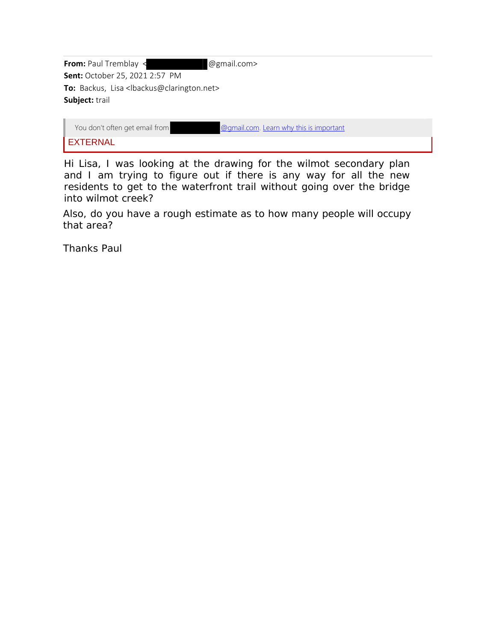| From: Paul Tremblay <                                              | @gmail.com>                             |  |
|--------------------------------------------------------------------|-----------------------------------------|--|
| <b>Sent: October 25, 2021 2:57 PM</b>                              |                                         |  |
| To: Backus, Lisa <lbackus@clarington.net></lbackus@clarington.net> |                                         |  |
| Subject: trail                                                     |                                         |  |
|                                                                    |                                         |  |
| Vou don't often ast small from                                     | Qqpool come Loorn why this is important |  |

| You don't often get email from <b>Example 20</b> and the component of the Mondon Containst Component Containst Contain |  |  |  |  |  |  |  |
|------------------------------------------------------------------------------------------------------------------------|--|--|--|--|--|--|--|
| <b>EXTERNAL</b>                                                                                                        |  |  |  |  |  |  |  |
|                                                                                                                        |  |  |  |  |  |  |  |

Hi Lisa, I was looking at the drawing for the wilmot secondary plan and I am trying to figure out if there is any way for all the new residents to get to the waterfront trail without going over the bridge into wilmot creek?

Also, do you have a rough estimate as to how many people will occupy that area?

Thanks Paul